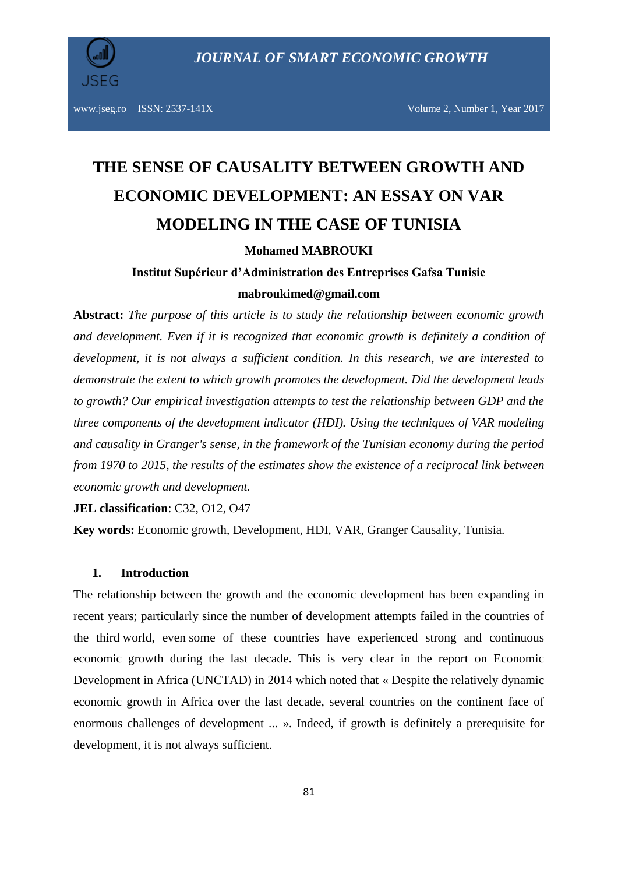

# **THE SENSE OF CAUSALITY BETWEEN GROWTH AND ECONOMIC DEVELOPMENT: AN ESSAY ON VAR MODELING IN THE CASE OF TUNISIA**

#### **Mohamed MABROUKI**

# **Institut Supérieur d'Administration des Entreprises Gafsa Tunisie mabroukimed@gmail.com**

**Abstract:** *The purpose of this article is to study the relationship between economic growth and development. Even if it is recognized that economic growth is definitely a condition of development, it is not always a sufficient condition. In this research, we are interested to demonstrate the extent to which growth promotes the development. Did the development leads to growth? Our empirical investigation attempts to test the relationship between GDP and the three components of the development indicator (HDI). Using the techniques of VAR modeling and causality in Granger's sense, in the framework of the Tunisian economy during the period from 1970 to 2015, the results of the estimates show the existence of a reciprocal link between economic growth and development.*

**JEL classification**: [C32,](http://econpapers.repec.org/scripts/search.pf?jel=C32) [O12,](http://econpapers.repec.org/scripts/search.pf?jel=O12) [O47](http://econpapers.repec.org/scripts/search.pf?jel=O47)

**Key words:** Economic growth, Development, HDI, VAR, Granger Causality, Tunisia.

#### **1. Introduction**

The relationship between the growth and the economic development has been expanding in recent years; particularly since the number of development attempts failed in the countries of the third world, even some of these countries have experienced strong and continuous economic growth during the last decade. This is very clear in the report on Economic Development in Africa (UNCTAD) in 2014 which noted that « Despite the relatively dynamic economic growth in Africa over the last decade, several countries on the continent face of enormous challenges of development ... ». Indeed, if growth is definitely a prerequisite for development, it is not always sufficient.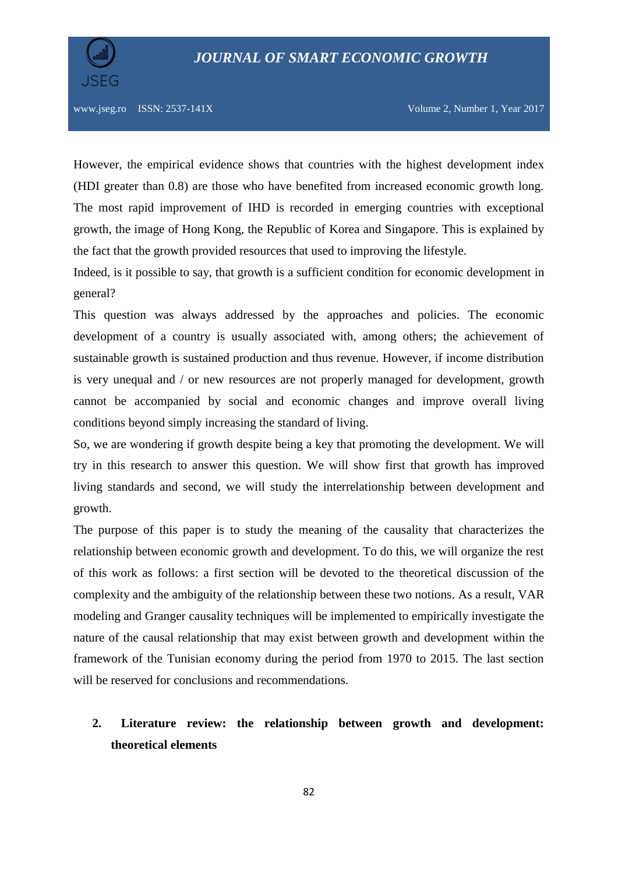



However, the empirical evidence shows that countries with the highest development index (HDI greater than 0.8) are those who have benefited from increased economic growth long. The most rapid improvement of IHD is recorded in emerging countries with exceptional growth, the image of Hong Kong, the Republic of Korea and Singapore. This is explained by the fact that the growth provided resources that used to improving the lifestyle.

Indeed, is it possible to say, that growth is a sufficient condition for economic development in general?

This question was always addressed by the approaches and policies. The economic development of a country is usually associated with, among others; the achievement of sustainable growth is sustained production and thus revenue. However, if income distribution is very unequal and / or new resources are not properly managed for development, growth cannot be accompanied by social and economic changes and improve overall living conditions beyond simply increasing the standard of living.

So, we are wondering if growth despite being a key that promoting the development. We will try in this research to answer this question. We will show first that growth has improved living standards and second, we will study the interrelationship between development and growth.

The purpose of this paper is to study the meaning of the causality that characterizes the relationship between economic growth and development. To do this, we will organize the rest of this work as follows: a first section will be devoted to the theoretical discussion of the complexity and the ambiguity of the relationship between these two notions. As a result, VAR modeling and Granger causality techniques will be implemented to empirically investigate the nature of the causal relationship that may exist between growth and development within the framework of the Tunisian economy during the period from 1970 to 2015. The last section will be reserved for conclusions and recommendations.

# **2. Literature review: the relationship between growth and development: theoretical elements**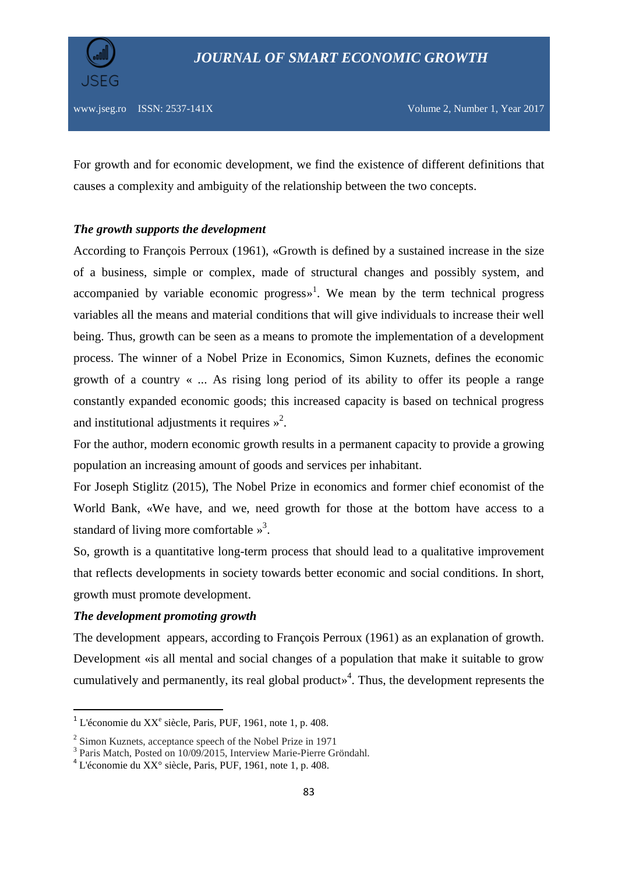

For growth and for economic development, we find the existence of different definitions that causes a complexity and ambiguity of the relationship between the two concepts.

# *The growth supports the development*

According to François Perroux (1961), «Growth is defined by a sustained increase in the size of a business, simple or complex, made of structural changes and possibly system, and accompanied by variable economic progress $\mathbf{v}^1$ . We mean by the term technical progress variables all the means and material conditions that will give individuals to increase their well being. Thus, growth can be seen as a means to promote the implementation of a development process. The winner of a Nobel Prize in Economics, Simon Kuznets, defines the economic growth of a country « ... As rising long period of its ability to offer its people a range constantly expanded economic goods; this increased capacity is based on technical progress and institutional adjustments it requires  $\frac{1}{2}$ .

For the author, modern economic growth results in a permanent capacity to provide a growing population an increasing amount of goods and services per inhabitant.

For Joseph Stiglitz (2015), The Nobel Prize in economics and former chief economist of the World Bank, «We have, and we, need growth for those at the bottom have access to a standard of living more comfortable  $\frac{1}{2}$ .

So, growth is a quantitative long-term process that should lead to a qualitative improvement that reflects developments in society towards better economic and social conditions. In short, growth must promote development.

## *The development promoting growth*

**.** 

The development appears, according to François Perroux (1961) as an explanation of growth. Development «is all mental and social changes of a population that make it suitable to grow cumulatively and permanently, its real global product» 4 . Thus, the development represents the

 $1$  L'économie du XX<sup>e</sup> siècle, Paris, PUF, 1961, note 1, p. 408.

<sup>&</sup>lt;sup>2</sup> Simon Kuznets, acceptance speech of the Nobel Prize in 1971

<sup>&</sup>lt;sup>3</sup> Paris Match, Posted on 10/09/2015, Interview Marie-Pierre Gröndahl.

<sup>4</sup> L'économie du XX° siècle, Paris, PUF, 1961, note 1, p. 408.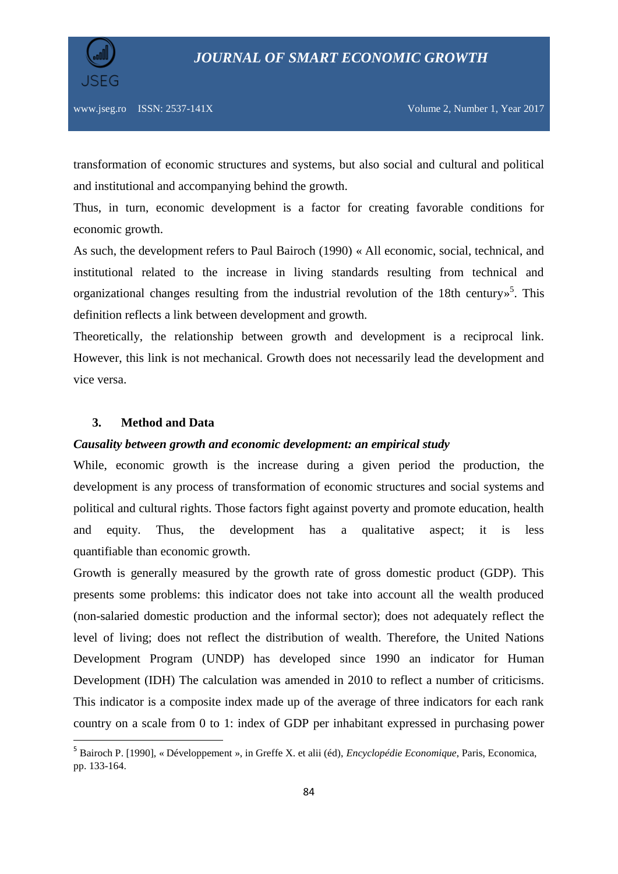



transformation of economic structures and systems, but also social and cultural and political and institutional and accompanying behind the growth.

Thus, in turn, economic development is a factor for creating favorable conditions for economic growth.

As such, the development refers to Paul Bairoch (1990) « All economic, social, technical, and institutional related to the increase in living standards resulting from technical and organizational changes resulting from the industrial revolution of the 18th century»<sup>5</sup>. This definition reflects a link between development and growth.

Theoretically, the relationship between growth and development is a reciprocal link. However, this link is not mechanical. Growth does not necessarily lead the development and vice versa.

#### **3. Method and Data**

**.** 

# *Causality between growth and economic development: an empirical study*

While, economic growth is the increase during a given period the production, the development is any process of transformation of economic structures and social systems and political and cultural rights. Those factors fight against poverty and promote education, health and equity. Thus, the development has a qualitative aspect; it is less quantifiable than economic growth.

Growth is generally measured by the growth rate of gross domestic product (GDP). This presents some problems: this indicator does not take into account all the wealth produced (non-salaried domestic production and the informal sector); does not adequately reflect the level of living; does not reflect the distribution of wealth. Therefore, the United Nations Development Program (UNDP) has developed since 1990 an indicator for Human Development (IDH) The calculation was amended in 2010 to reflect a number of criticisms. This indicator is a composite index made up of the average of three indicators for each rank country on a scale from 0 to 1: index of GDP per inhabitant expressed in purchasing power

<sup>5</sup> Bairoch P. [1990], « Développement », in Greffe X. et alii (éd), *Encyclopédie Economique*, Paris, Economica, pp. 133-164.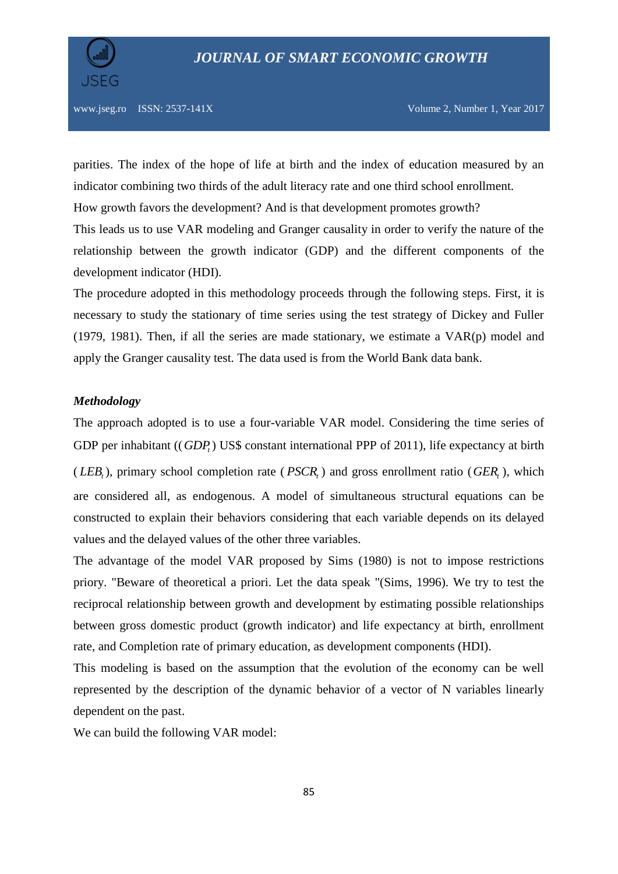

parities. The index of the hope of life at birth and the index of education measured by an indicator combining two thirds of the adult literacy rate and one third school enrollment.

How growth favors the development? And is that development promotes growth?

This leads us to use VAR modeling and Granger causality in order to verify the nature of the relationship between the growth indicator (GDP) and the different components of the development indicator (HDI).

The procedure adopted in this methodology proceeds through the following steps. First, it is necessary to study the stationary of time series using the test strategy of Dickey and Fuller (1979, 1981). Then, if all the series are made stationary, we estimate a VAR(p) model and apply the Granger causality test. The data used is from the World Bank data bank.

## *Methodology*

The approach adopted is to use a four-variable VAR model. Considering the time series of GDP per inhabitant ((*GDP<sub>t</sub>*) US\$ constant international PPP of 2011), life expectancy at birth (*LEB<sub>t</sub>*), primary school completion rate (*PSCR<sub>t</sub>*) and gross enrollment ratio (*GER<sub>t</sub>*), which are considered all, as endogenous. A model of simultaneous structural equations can be constructed to explain their behaviors considering that each variable depends on its delayed values and the delayed values of the other three variables.

The advantage of the model VAR proposed by Sims (1980) is not to impose restrictions priory. "Beware of theoretical a priori. Let the data speak "(Sims, 1996). We try to test the reciprocal relationship between growth and development by estimating possible relationships between gross domestic product (growth indicator) and life expectancy at birth, enrollment rate, and Completion rate of primary education, as development components (HDI).

This modeling is based on the assumption that the evolution of the economy can be well represented by the description of the dynamic behavior of a vector of N variables linearly dependent on the past.

We can build the following VAR model: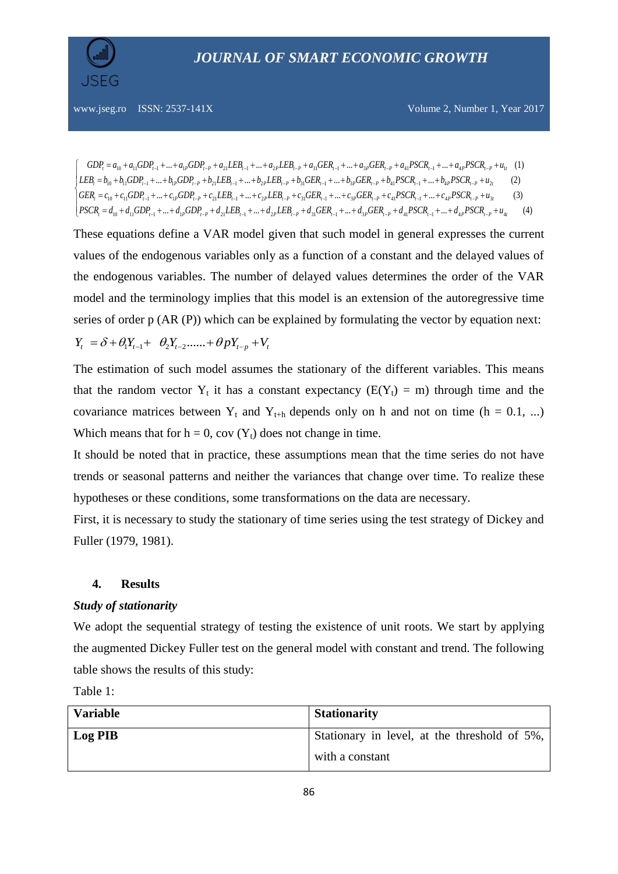

www.jseg.ro ISSN: 2537-141X  
\nVolume 2, Number 1, Year 2017  
\n
$$
\begin{cases}\nGDP_t = a_{10} + a_{11}GDP_{t-1} + ... + a_{1P}GDP_{t-P} + a_{21}LEB_{t-1} + ... + a_{2P}LEB_{t-P} + a_{31}GER_{t-1} + ... + a_{3P}GER_{t-P} + a_{41}PSCR_{t-1} + ... + a_{4P}PSCR_{t-P} + u_{1t} (1)\n\end{cases}
$$
\n
$$
\begin{cases}\nEB_t = b_{10} + b_{11}GDP_{t-1} + ... + b_{1P}GDP_{t-P} + b_{21}LEB_{t-1} + ... + b_{2P}LEB_{t-P} + b_{31}GER_{t-1} + ... + b_{3P} GER_{t-P} + b_{41} PSCR_{t-1} + ... + b_{4P} PSCR_{t-P} + u_{2t} (2)\n\end{cases}
$$
\n
$$
\begin{cases}\nGER_t = c_{10} + c_{11}GDP_{t-1} + ... + c_{1P}GDP_{t-P} + c_{21}LEB_{t-1} + ... + c_{2P}LEB_{t-P} + c_{31}GER_{t-1} + ... + c_{3P} GER_{t-P} + c_{41} PSCR_{t-1} + ... + c_{4P} PSCR_{t-P} + u_{3t} (3)\n\end{cases}
$$
\n
$$
\begin{cases}\nFSCR_t = d_{10} + d_{11}GDP_{t-1} + ... + d_{1P}GDP_{t-P} + d_{21}LEB_{t-1} + ... + d_{2P}LEB_{t-P} + d_{31}GER_{t-1} + ... + d_{3P} GER_{t-P} + d_{41} PSCR_{t-1} + ... + d_{4P} PSCR_{t-P} + u_{4t} (4)\n\end{cases}
$$

These equations define a VAR model given that such model in general expresses the current values of the endogenous variables only as a function of a constant and the delayed values of the endogenous variables. The number of delayed values determines the order of the VAR model and the terminology implies that this model is an extension of the autoregressive time series of order p (AR (P)) which can be explained by formulating the vector by equation next:<br>  $Y_t = \delta + \theta_1 Y_{t-1} + \theta_2 Y_{t-2} + \theta_1 Y_{t-p} + V_t$ 

$$
Y_t = \delta + \theta_1 Y_{t-1} + \theta_2 Y_{t-2} + \theta_p Y_{t-p} + V_t
$$

The estimation of such model assumes the stationary of the different variables. This means that the random vector  $Y_t$  it has a constant expectancy ( $E(Y_t) = m$ ) through time and the covariance matrices between  $Y_t$  and  $Y_{t+h}$  depends only on h and not on time (h = 0.1, ...) Which means that for  $h = 0$ , cov  $(Y_t)$  does not change in time.

It should be noted that in practice, these assumptions mean that the time series do not have trends or seasonal patterns and neither the variances that change over time. To realize these hypotheses or these conditions, some transformations on the data are necessary.

First, it is necessary to study the stationary of time series using the test strategy of Dickey and Fuller (1979, 1981).

#### **4. Results**

#### *Study of stationarity*

We adopt the sequential strategy of testing the existence of unit roots. We start by applying the augmented Dickey Fuller test on the general model with constant and trend. The following table shows the results of this study:

Table 1:

| <b>Variable</b> | <b>Stationarity</b>                          |
|-----------------|----------------------------------------------|
| Log PIB         | Stationary in level, at the threshold of 5%, |
|                 | with a constant                              |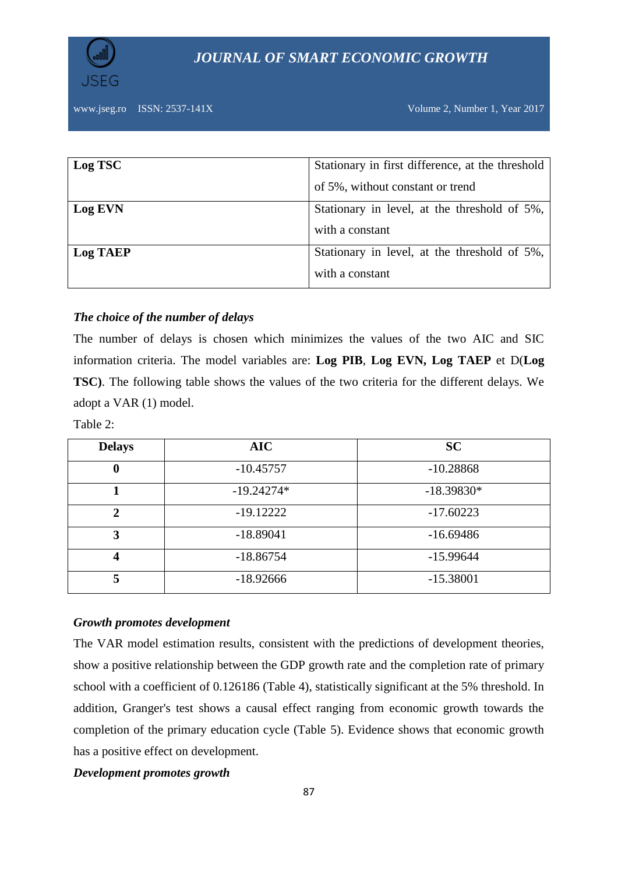

# *JOURNAL OF SMART ECONOMIC GROWTH*

www.jseg.ro ISSN: 2537-141X Volume 2, Number 1, Year 2017

| Log TSC         | Stationary in first difference, at the threshold |  |  |  |  |
|-----------------|--------------------------------------------------|--|--|--|--|
|                 | of 5%, without constant or trend                 |  |  |  |  |
| Log EVN         | Stationary in level, at the threshold of 5%,     |  |  |  |  |
|                 | with a constant                                  |  |  |  |  |
| <b>Log TAEP</b> | Stationary in level, at the threshold of 5%,     |  |  |  |  |
|                 | with a constant                                  |  |  |  |  |

# *The choice of the number of delays*

The number of delays is chosen which minimizes the values of the two AIC and SIC information criteria. The model variables are: **Log PIB**, **Log EVN, Log TAEP** et D(**Log TSC)**. The following table shows the values of the two criteria for the different delays. We adopt a VAR (1) model.

Table 2:

| <b>Delays</b>    | <b>AIC</b>   | <b>SC</b>    |
|------------------|--------------|--------------|
| $\bf{0}$         | $-10.45757$  | $-10.28868$  |
|                  | $-19.24274*$ | $-18.39830*$ |
| $\mathbf{2}$     | $-19.12222$  | $-17.60223$  |
| 3                | $-18.89041$  | $-16.69486$  |
| $\boldsymbol{4}$ | $-18.86754$  | $-15.99644$  |
| 5                | $-18.92666$  | $-15.38001$  |

## *Growth promotes development*

The VAR model estimation results, consistent with the predictions of development theories, show a positive relationship between the GDP growth rate and the completion rate of primary school with a coefficient of 0.126186 (Table 4), statistically significant at the 5% threshold. In addition, Granger's test shows a causal effect ranging from economic growth towards the completion of the primary education cycle (Table 5). Evidence shows that economic growth has a positive effect on development.

#### *Development promotes growth*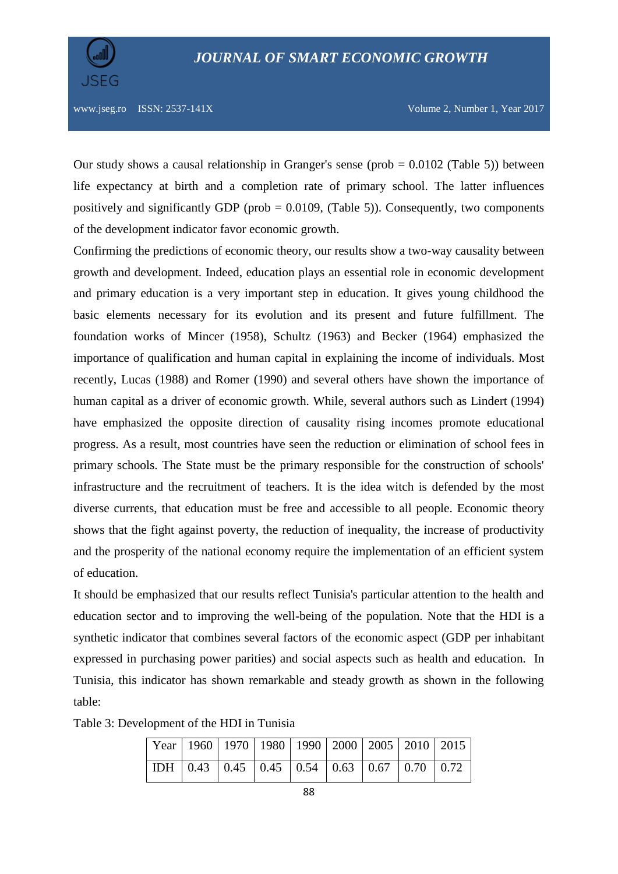

Our study shows a causal relationship in Granger's sense (prob  $= 0.0102$  (Table 5)) between life expectancy at birth and a completion rate of primary school. The latter influences positively and significantly GDP (prob = 0.0109, (Table 5)). Consequently, two components of the development indicator favor economic growth.

Confirming the predictions of economic theory, our results show a two-way causality between growth and development. Indeed, education plays an essential role in economic development and primary education is a very important step in education. It gives young childhood the basic elements necessary for its evolution and its present and future fulfillment. The foundation works of Mincer (1958), Schultz (1963) and Becker (1964) emphasized the importance of qualification and human capital in explaining the income of individuals. Most recently, Lucas (1988) and Romer (1990) and several others have shown the importance of human capital as a driver of economic growth. While, several authors such as Lindert (1994) have emphasized the opposite direction of causality rising incomes promote educational progress. As a result, most countries have seen the reduction or elimination of school fees in primary schools. The State must be the primary responsible for the construction of schools' infrastructure and the recruitment of teachers. It is the idea witch is defended by the most diverse currents, that education must be free and accessible to all people. Economic theory shows that the fight against poverty, the reduction of inequality, the increase of productivity and the prosperity of the national economy require the implementation of an efficient system of education.

It should be emphasized that our results reflect Tunisia's particular attention to the health and education sector and to improving the well-being of the population. Note that the HDI is a synthetic indicator that combines several factors of the economic aspect (GDP per inhabitant expressed in purchasing power parities) and social aspects such as health and education. In Tunisia, this indicator has shown remarkable and steady growth as shown in the following table:

|  |  |  |  | Year   1960   1970   1980   1990   2000   2005   2010   2015                                         |  |
|--|--|--|--|------------------------------------------------------------------------------------------------------|--|
|  |  |  |  | $\boxed{\text{IDH} \mid 0.43 \mid 0.45 \mid 0.45 \mid 0.54 \mid 0.63 \mid 0.67 \mid 0.70 \mid 0.72}$ |  |

Table 3: Development of the HDI in Tunisia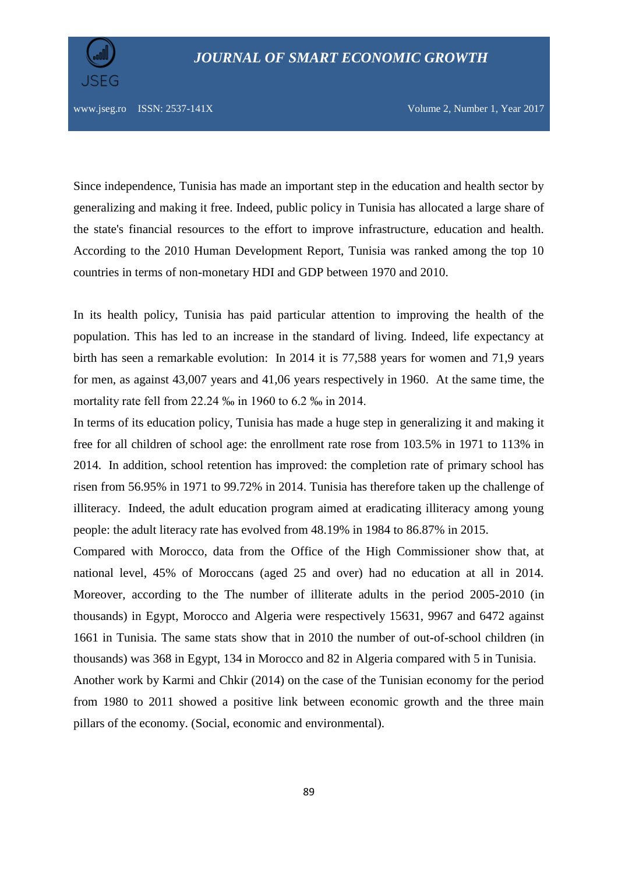

Since independence, Tunisia has made an important step in the education and health sector by generalizing and making it free. Indeed, public policy in Tunisia has allocated a large share of the state's financial resources to the effort to improve infrastructure, education and health. According to the 2010 Human Development Report, Tunisia was ranked among the top 10 countries in terms of non-monetary HDI and GDP between 1970 and 2010.

In its health policy, Tunisia has paid particular attention to improving the health of the population. This has led to an increase in the standard of living. Indeed, life expectancy at birth has seen a remarkable evolution: In 2014 it is 77,588 years for women and 71,9 years for men, as against 43,007 years and 41,06 years respectively in 1960. At the same time, the mortality rate fell from 22.24 ‰ in 1960 to 6.2 ‰ in 2014.

In terms of its education policy, Tunisia has made a huge step in generalizing it and making it free for all children of school age: the enrollment rate rose from 103.5% in 1971 to 113% in 2014. In addition, school retention has improved: the completion rate of primary school has risen from 56.95% in 1971 to 99.72% in 2014. Tunisia has therefore taken up the challenge of illiteracy. Indeed, the adult education program aimed at eradicating illiteracy among young people: the adult literacy rate has evolved from 48.19% in 1984 to 86.87% in 2015.

Compared with Morocco, data from the Office of the High Commissioner show that, at national level, 45% of Moroccans (aged 25 and over) had no education at all in 2014. Moreover, according to the The number of illiterate adults in the period 2005-2010 (in thousands) in Egypt, Morocco and Algeria were respectively 15631, 9967 and 6472 against 1661 in Tunisia. The same stats show that in 2010 the number of out-of-school children (in thousands) was 368 in Egypt, 134 in Morocco and 82 in Algeria compared with 5 in Tunisia.

Another work by Karmi and Chkir (2014) on the case of the Tunisian economy for the period from 1980 to 2011 showed a positive link between economic growth and the three main pillars of the economy. (Social, economic and environmental).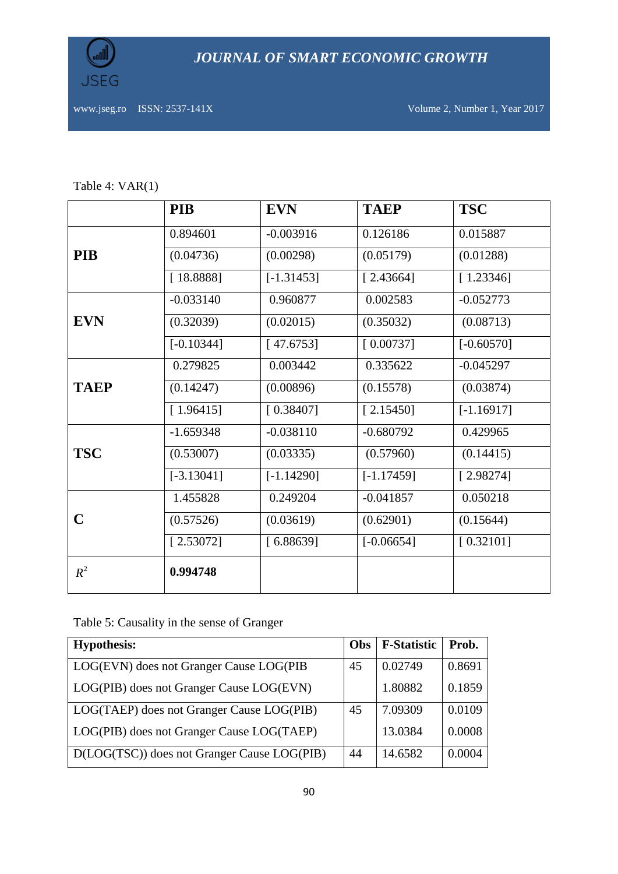

*JOURNAL OF SMART ECONOMIC GROWTH*

www.jseg.ro ISSN: 2537-141X Volume 2, Number 1, Year 2017

|  | Table 4: $VAR(1)$ |
|--|-------------------|
|--|-------------------|

|             | <b>PIB</b>   | <b>EVN</b>   | <b>TAEP</b>  | <b>TSC</b>   |
|-------------|--------------|--------------|--------------|--------------|
|             | 0.894601     | $-0.003916$  | 0.126186     | 0.015887     |
| <b>PIB</b>  | (0.04736)    | (0.00298)    | (0.05179)    | (0.01288)    |
|             | [18.8888]    | $[-1.31453]$ | [2.43664]    | [1.23346]    |
|             | $-0.033140$  | 0.960877     | 0.002583     | $-0.052773$  |
| <b>EVN</b>  | (0.32039)    | (0.02015)    | (0.35032)    | (0.08713)    |
|             | $[-0.10344]$ | [47.6753]    | [0.00737]    | $[-0.60570]$ |
|             | 0.279825     | 0.003442     | 0.335622     | $-0.045297$  |
| <b>TAEP</b> | (0.14247)    | (0.00896)    | (0.15578)    | (0.03874)    |
|             | [1.96415]    | [0.38407]    | [2.15450]    | $[-1.16917]$ |
|             | $-1.659348$  | $-0.038110$  | $-0.680792$  | 0.429965     |
| <b>TSC</b>  | (0.53007)    | (0.03335)    | (0.57960)    | (0.14415)    |
|             | $[-3.13041]$ | $[-1.14290]$ | $[-1.17459]$ | [2.98274]    |
|             | 1.455828     | 0.249204     | $-0.041857$  | 0.050218     |
| C           | (0.57526)    | (0.03619)    | (0.62901)    | (0.15644)    |
|             | [2.53072]    | [6.88639]    | $[-0.06654]$ | [0.32101]    |
| $R^2$       | 0.994748     |              |              |              |

Table 5: Causality in the sense of Granger

| <b>Hypothesis:</b>                          | Obs | <b>F-Statistic</b> | Prob.  |
|---------------------------------------------|-----|--------------------|--------|
| LOG(EVN) does not Granger Cause LOG(PIB     | 45  | 0.02749            | 0.8691 |
| LOG(PIB) does not Granger Cause LOG(EVN)    |     | 1.80882            | 0.1859 |
| LOG(TAEP) does not Granger Cause LOG(PIB)   | 45  | 7.09309            | 0.0109 |
| LOG(PIB) does not Granger Cause LOG(TAEP)   |     | 13.0384            | 0.0008 |
| D(LOG(TSC)) does not Granger Cause LOG(PIB) | 44  | 14.6582            | 0.0004 |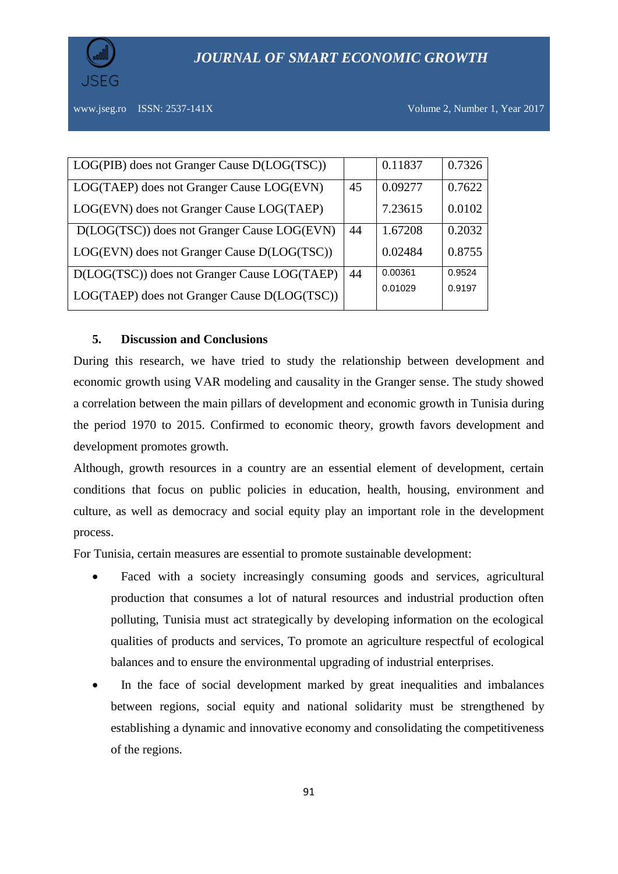



| LOG(PIB) does not Granger Cause D(LOG(TSC))  |    | 0.11837 | 0.7326 |
|----------------------------------------------|----|---------|--------|
| LOG(TAEP) does not Granger Cause LOG(EVN)    | 45 | 0.09277 | 0.7622 |
| LOG(EVN) does not Granger Cause LOG(TAEP)    |    | 7.23615 | 0.0102 |
| D(LOG(TSC)) does not Granger Cause LOG(EVN)  | 44 | 1.67208 | 0.2032 |
| LOG(EVN) does not Granger Cause D(LOG(TSC))  |    | 0.02484 | 0.8755 |
| D(LOG(TSC)) does not Granger Cause LOG(TAEP) | 44 | 0.00361 | 0.9524 |
| LOG(TAEP) does not Granger Cause D(LOG(TSC)) |    | 0.01029 | 0.9197 |

# **5. Discussion and Conclusions**

During this research, we have tried to study the relationship between development and economic growth using VAR modeling and causality in the Granger sense. The study showed a correlation between the main pillars of development and economic growth in Tunisia during the period 1970 to 2015. Confirmed to economic theory, growth favors development and development promotes growth.

Although, growth resources in a country are an essential element of development, certain conditions that focus on public policies in education, health, housing, environment and culture, as well as democracy and social equity play an important role in the development process.

For Tunisia, certain measures are essential to promote sustainable development:

- Faced with a society increasingly consuming goods and services, agricultural production that consumes a lot of natural resources and industrial production often polluting, Tunisia must act strategically by developing information on the ecological qualities of products and services, To promote an agriculture respectful of ecological balances and to ensure the environmental upgrading of industrial enterprises.
- In the face of social development marked by great inequalities and imbalances between regions, social equity and national solidarity must be strengthened by establishing a dynamic and innovative economy and consolidating the competitiveness of the regions.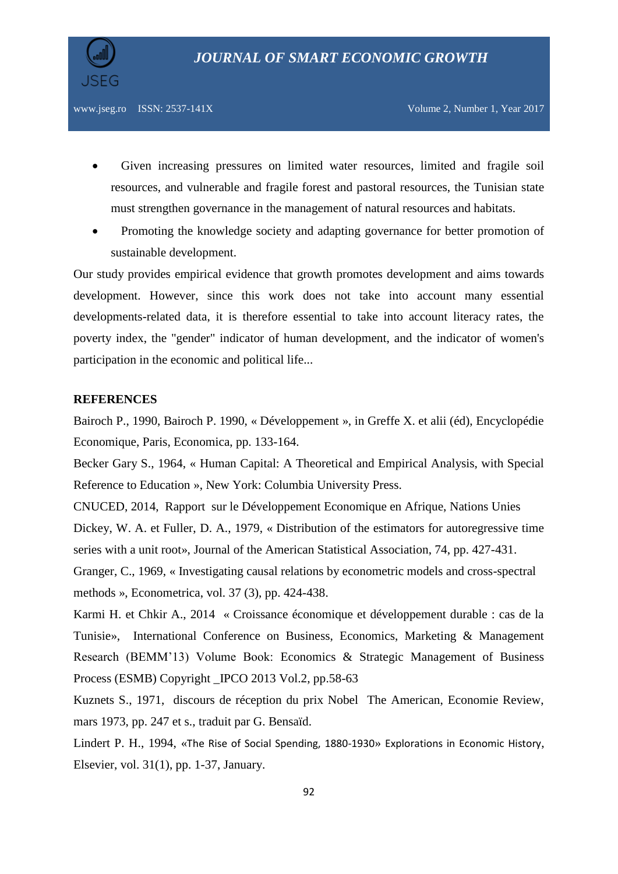

- Given increasing pressures on limited water resources, limited and fragile soil resources, and vulnerable and fragile forest and pastoral resources, the Tunisian state must strengthen governance in the management of natural resources and habitats.
- Promoting the knowledge society and adapting governance for better promotion of sustainable development.

Our study provides empirical evidence that growth promotes development and aims towards development. However, since this work does not take into account many essential developments-related data, it is therefore essential to take into account literacy rates, the poverty index, the "gender" indicator of human development, and the indicator of women's participation in the economic and political life...

#### **REFERENCES**

Bairoch P., 1990, Bairoch P. 1990, « Développement », in Greffe X. et alii (éd), Encyclopédie Economique, Paris, Economica, pp. 133-164.

Becker Gary S., 1964, « Human Capital: A Theoretical and Empirical Analysis, with Special Reference to Education », New York: Columbia University Press.

CNUCED, 2014, Rapport sur le Développement Economique en Afrique, Nations Unies Dickey, W. A. et Fuller, D. A., 1979, « Distribution of the estimators for autoregressive time series with a unit root», Journal of the American Statistical Association, 74, pp. 427-431.

Granger, C., 1969, « Investigating causal relations by econometric models and cross-spectral methods », Econometrica, vol. 37 (3), pp. 424-438.

Karmi H. et Chkir A., 2014 « Croissance économique et développement durable : cas de la Tunisie», International Conference on Business, Economics, Marketing & Management Research (BEMM'13) Volume Book: Economics & Strategic Management of Business Process (ESMB) Copyright IPCO 2013 Vol.2, pp.58-63

Kuznets S., 1971, discours de réception du prix Nobel The American, Economie Review, mars 1973, pp. 247 et s., traduit par G. Bensaïd.

Lindert P. H., 1994, «[The Rise of Social Spending, 1880-1930](https://ideas.repec.org/a/eee/exehis/v31y1994i1p1-37.html)» [Explorations in Economic History](https://ideas.repec.org/s/eee/exehis.html), Elsevier, vol. 31(1), pp. 1-37, January.